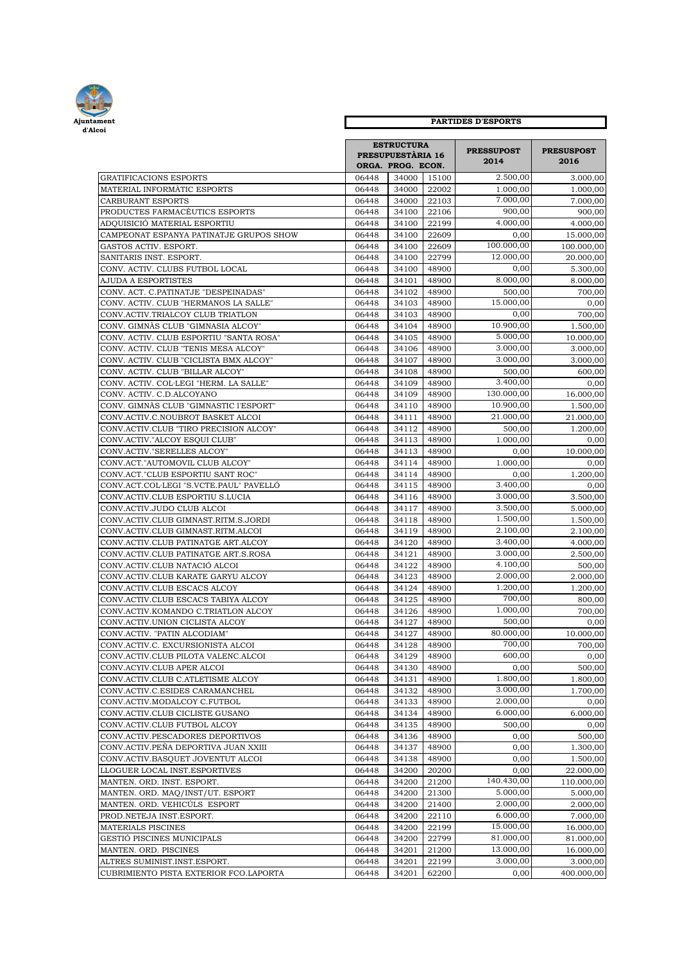

| Ajuntament                              |       | <b>PARTIDES D'ESPORTS</b>                                          |       |                           |                           |  |  |  |
|-----------------------------------------|-------|--------------------------------------------------------------------|-------|---------------------------|---------------------------|--|--|--|
| d'Alcoi                                 |       | <b>ESTRUCTURA</b><br><b>PRESUPUESTÀRIA 16</b><br>ORGA. PROG. ECON. |       | <b>PRESSUPOST</b><br>2014 | <b>PRESUSPOST</b><br>2016 |  |  |  |
| <b>GRATIFICACIONS ESPORTS</b>           | 06448 | 34000                                                              | 15100 | 2.500,00                  | 3.000,00                  |  |  |  |
| MATERIAL INFORMÀTIC ESPORTS             | 06448 | 34000                                                              | 22002 | 1.000.00                  | 1.000,00                  |  |  |  |
| CARBURANT ESPORTS                       | 06448 | 34000                                                              | 22103 | 7.000,00                  | 7.000,00                  |  |  |  |
| PRODUCTES FARMACÈUTICS ESPORTS          | 06448 | 34100                                                              | 22106 | 900,00                    | 900,00                    |  |  |  |
| ADQUISICIÓ MATERIAL ESPORTIU            | 06448 | 34100                                                              | 22199 | 4.000,00                  | 4.000,00                  |  |  |  |
| CAMPEONAT ESPANYA PATINATJE GRUPOS SHOW | 06448 | 34100                                                              | 22609 | 0,00                      | 15.000,00                 |  |  |  |
| GASTOS ACTIV. ESPORT.                   | 06448 | 34100                                                              | 22609 | 100.000,00                | 100.000,00                |  |  |  |
| SANITARIS INST. ESPORT.                 | 06448 | 34100                                                              | 22799 | 12.000,00                 | 20.000,00                 |  |  |  |
| CONV. ACTIV. CLUBS FUTBOL LOCAL         | 06448 | 34100                                                              | 48900 | 0,00                      | 5.300,00                  |  |  |  |
| AJUDA A ESPORTISTES                     | 06448 | 34101                                                              | 48900 | 8.000.00                  | 8.000,00                  |  |  |  |
| CONV. ACT. C.PATINATJE "DESPEINADAS"    | 06448 | 34102                                                              | 48900 | 500,00                    | 700,00                    |  |  |  |
| CONV. ACTIV. CLUB "HERMANOS LA SALLE"   | 06448 | 34103                                                              | 48900 | 15.000,00                 | 0,00                      |  |  |  |
| CONV.ACTIV.TRIALCOY CLUB TRIATLON       | 06448 | 34103                                                              | 48900 | 0,00                      | 700,00                    |  |  |  |
| CONV. GIMNÀS CLUB "GIMNASIA ALCOY"      | 06448 | 34104                                                              | 48900 | 10.900,00                 | 1.500,00                  |  |  |  |
| CONV. ACTIV. CLUB ESPORTIU "SANTA ROSA" | 06448 | 34105                                                              | 48900 | 5.000,00                  | 10.000,00                 |  |  |  |
| CONV. ACTIV. CLUB "TENIS MESA ALCOY"    | 06448 | 34106                                                              | 48900 | 3.000.00                  | 3.000,00                  |  |  |  |
| CONV. ACTIV. CLUB "CICLISTA BMX ALCOY"  | 06448 | 34107                                                              | 48900 | 3.000,00                  | 3.000,00                  |  |  |  |
| CONV. ACTIV. CLUB "BILLAR ALCOY"        | 06448 | 34108                                                              | 48900 | 500,00                    | 600,00                    |  |  |  |
| CONV. ACTIV. COL·LEGI "HERM. LA SALLE"  | 06448 | 34109                                                              | 48900 | 3.400,00                  | 0,00                      |  |  |  |
| CONV. ACTIV. C.D.ALCOYANO               | 06448 | 34109                                                              | 48900 | 130.000,00                | 16.000,00                 |  |  |  |
| CONV. GIMNÀS CLUB "GIMNASTIC l'ESPORT"  | 06448 | 34110                                                              | 48900 | 10.900,00                 | 1.500,00                  |  |  |  |
| CONV.ACTIV.C.NOUBROT BASKET ALCOI       | 06448 | 34111                                                              | 48900 | 21.000,00                 | 21.000,00                 |  |  |  |
| CONV.ACTIV.CLUB "TIRO PRECISION ALCOY"  | 06448 | 34112                                                              | 48900 | 500,00                    | 1.200,00                  |  |  |  |
| CONV.ACTIV."ALCOY ESQUI CLUB"           | 06448 | 34113                                                              | 48900 | 1.000,00                  | 0,00                      |  |  |  |
| CONV.ACTIV."SERELLES ALCOY"             | 06448 | 34113                                                              | 48900 | 0,00                      | 10.000,00                 |  |  |  |
| CONV.ACT."AUTOMOVIL CLUB ALCOY"         | 06448 | 34114                                                              | 48900 | 1.000,00                  | 0,00                      |  |  |  |
| CONV.ACT."CLUB ESPORTIU SANT ROC"       | 06448 | 34114                                                              | 48900 | 0,00                      | 1.200,00                  |  |  |  |
| CONV.ACT.COL·LEGI "S.VCTE.PAUL" PAVELLÓ | 06448 | 34115                                                              | 48900 | 3.400,00                  | 0,00                      |  |  |  |
| CONV.ACTIV.CLUB ESPORTIU S.LUCIA        | 06448 | 34116                                                              | 48900 | 3.000,00                  | 3.500,00                  |  |  |  |
| CONV.ACTIV.JUDO CLUB ALCOI              | 06448 | 34117                                                              | 48900 | 3.500,00                  | 5.000,00                  |  |  |  |
| CONV.ACTIV.CLUB GIMNAST.RITM.S.JORDI    | 06448 | 34118                                                              | 48900 | 1.500,00                  | 1.500,00                  |  |  |  |
| CONV.ACTIV.CLUB GIMNAST.RITM.ALCOI      | 06448 | 34119                                                              | 48900 | 2.100,00                  | 2.100,00                  |  |  |  |
| CONV.ACTIV.CLUB PATINATGE ART.ALCOY     | 06448 | 34120                                                              | 48900 | 3.400,00                  | 4.000,00                  |  |  |  |
| CONV.ACTIV.CLUB PATINATGE ART.S.ROSA    | 06448 | 34121                                                              | 48900 | 3.000,00                  | 2.500,00                  |  |  |  |
| CONV.ACTIV.CLUB NATACIÓ ALCOI           | 06448 | 34122                                                              | 48900 | 4.100,00                  | 500,00                    |  |  |  |
| CONV.ACTIV.CLUB KARATE GARYU ALCOY      | 06448 | 34123                                                              | 48900 | 2.000.00                  | 2.000,00                  |  |  |  |
| CONV.ACTIV.CLUB ESCACS ALCOY            | 06448 | 34124                                                              | 48900 | 1.200.00                  | 1.200,00                  |  |  |  |
| CONV.ACTIV.CLUB ESCACS TABIYA ALCOY     | 06448 | 34125                                                              | 48900 | 700.00                    | 800,00                    |  |  |  |
| CONV.ACTIV.KOMANDO C.TRIATLON ALCOY     | 06448 | 34126                                                              | 48900 | 1.000,00                  | 700.00                    |  |  |  |
| CONV.ACTIV.UNION CICLISTA ALCOY         | 06448 | 34127                                                              | 48900 | 500,00                    | 0,00                      |  |  |  |
| CONV.ACTIV. "PATIN ALCODIAM'            | 06448 | 34127                                                              | 48900 | 80.000,00                 | 10.000,00                 |  |  |  |
| CONV.ACTIV.C. EXCURSIONISTA ALCOI       | 06448 | 34128                                                              | 48900 | 700,00                    | 700,00                    |  |  |  |
| CONV.ACTIV.CLUB PILOTA VALENC.ALCOI     | 06448 | 34129                                                              | 48900 | 600,00                    | 0,00                      |  |  |  |
| CONV.ACYIV.CLUB APER ALCOI              | 06448 | 34130                                                              | 48900 | 0,00                      | 500,00                    |  |  |  |
|                                         |       |                                                                    | 48900 | 1.800,00                  | 1.800,00                  |  |  |  |
| CONV.ACTIV.CLUB C.ATLETISME ALCOY       | 06448 | 34131                                                              | 48900 | 3.000,00                  |                           |  |  |  |
| CONV.ACTIV.C.ESIDES CARAMANCHEL         | 06448 | 34132                                                              |       | 2.000,00                  | 1.700,00                  |  |  |  |
| CONV.ACTIV.MODALCOY C.FUTBOL            | 06448 | 34133                                                              | 48900 |                           | 0,00                      |  |  |  |
| CONV.ACTIV.CLUB CICLISTE GUSANO         | 06448 | 34134                                                              | 48900 | 6.000,00                  | 6.000,00                  |  |  |  |
| CONV.ACTIV.CLUB FUTBOL ALCOY            | 06448 | 34135                                                              | 48900 | 500,00                    | 0,00                      |  |  |  |
| CONV.ACTIV.PESCADORES DEPORTIVOS        | 06448 | 34136                                                              | 48900 | 0,00                      | 500,00                    |  |  |  |
| CONV.ACTIV.PEÑA DEPORTIVA JUAN XXIII    | 06448 | 34137                                                              | 48900 | 0,00                      | 1.300,00                  |  |  |  |
| CONV.ACTIV.BASQUET JOVENTUT ALCOI       | 06448 | 34138                                                              | 48900 | 0,00                      | 1.500,00                  |  |  |  |
| LLOGUER LOCAL INST.ESPORTIVES           | 06448 | 34200                                                              | 20200 | 0,00                      | 22.000,00                 |  |  |  |
| MANTEN. ORD. INST. ESPORT.              | 06448 | 34200                                                              | 21200 | 140.430,00                | 110.000,00                |  |  |  |
| MANTEN. ORD. MAQ/INST/UT. ESPORT        | 06448 | 34200                                                              | 21300 | 5.000,00                  | 5.000,00                  |  |  |  |
| MANTEN. ORD. VEHICÚLS ESPORT            | 06448 | 34200                                                              | 21400 | 2.000,00                  | 2.000,00                  |  |  |  |
| PROD.NETEJA INST.ESPORT.                | 06448 | 34200                                                              | 22110 | 6.000,00                  | 7.000,00                  |  |  |  |
| MATERIALS PISCINES                      | 06448 | 34200                                                              | 22199 | 15.000,00                 | 16.000,00                 |  |  |  |
| GESTIÓ PISCINES MUNICIPALS              | 06448 | 34200                                                              | 22799 | 81.000,00                 | 81.000,00                 |  |  |  |
| MANTEN. ORD. PISCINES                   | 06448 | 34201                                                              | 21200 | 13.000,00                 | 16.000,00                 |  |  |  |
| ALTRES SUMINIST.INST.ESPORT.            | 06448 | 34201                                                              | 22199 | 3.000,00                  | 3.000,00                  |  |  |  |
| CUBRIMIENTO PISTA EXTERIOR FCO.LAPORTA  | 06448 | 34201                                                              | 62200 | 0,00                      | 400.000,00                |  |  |  |